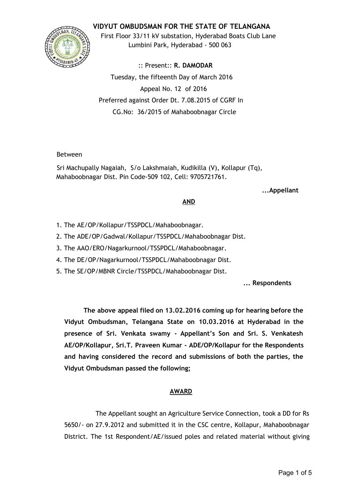# **VIDYUT OMBUDSMAN FOR THE STATE OF TELANGANA**



First Floor 33/11 kV substation, Hyderabad Boats Club Lane Lumbini Park, Hyderabad ‐ 500 063

:: Present:: **R. DAMODAR** Tuesday, the fifteenth Day of March 2016 Appeal No. 12 of 2016 Preferred against Order Dt. 7.08.2015 of CGRF In CG.No: 36/2015 of Mahaboobnagar Circle

## Between

Sri Machupally Nagaiah, S/o Lakshmaiah, Kudikilla (V), Kollapur (Tq), Mahaboobnagar Dist. Pin Code‐509 102, Cell: 9705721761.

#### **...Appellant**

## **AND**

- 1. The AE/OP/Kollapur/TSSPDCL/Mahaboobnagar.
- 2. The ADE/OP/Gadwal/Kollapur/TSSPDCL/Mahaboobnagar Dist.
- 3. The AAO/ERO/Nagarkurnool/TSSPDCL/Mahaboobnagar.
- 4. The DE/OP/Nagarkurnool/TSSPDCL/Mahaboobnagar Dist.
- 5. The SE/OP/MBNR Circle/TSSPDCL/Mahaboobnagar Dist.

#### **... Respondents**

**The above appeal filed on 13.02.2016 coming up for hearing before the Vidyut Ombudsman, Telangana State on 10.03.2016 at Hyderabad in the presence of Sri. Venkata swamy ‐ Appellant's Son and Sri. S. Venkatesh AE/OP/Kollapur, Sri.T. Praveen Kumar ‐ ADE/OP/Kollapur for the Respondents and having considered the record and submissions of both the parties, the Vidyut Ombudsman passed the following;**

## **AWARD**

The Appellant sought an Agriculture Service Connection, took a DD for Rs 5650/‐ on 27.9.2012 and submitted it in the CSC centre, Kollapur, Mahaboobnagar District. The 1st Respondent/AE/issued poles and related material without giving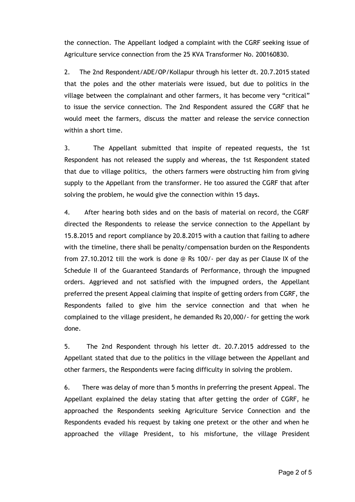the connection. The Appellant lodged a complaint with the CGRF seeking issue of Agriculture service connection from the 25 KVA Transformer No. 200160830.

2. The 2nd Respondent/ADE/OP/Kollapur through his letter dt. 20.7.2015 stated that the poles and the other materials were issued, but due to politics in the village between the complainant and other farmers, it has become very "critical" to issue the service connection. The 2nd Respondent assured the CGRF that he would meet the farmers, discuss the matter and release the service connection within a short time.

3. The Appellant submitted that inspite of repeated requests, the 1st Respondent has not released the supply and whereas, the 1st Respondent stated that due to village politics, the others farmers were obstructing him from giving supply to the Appellant from the transformer. He too assured the CGRF that after solving the problem, he would give the connection within 15 days.

4. After hearing both sides and on the basis of material on record, the CGRF directed the Respondents to release the service connection to the Appellant by 15.8.2015 and report compliance by 20.8.2015 with a caution that failing to adhere with the timeline, there shall be penalty/compensation burden on the Respondents from 27.10.2012 till the work is done @ Rs 100/‐ per day as per Clause IX of the Schedule II of the Guaranteed Standards of Performance, through the impugned orders. Aggrieved and not satisfied with the impugned orders, the Appellant preferred the present Appeal claiming that inspite of getting orders from CGRF, the Respondents failed to give him the service connection and that when he complained to the village president, he demanded Rs 20,000/‐ for getting the work done.

5. The 2nd Respondent through his letter dt. 20.7.2015 addressed to the Appellant stated that due to the politics in the village between the Appellant and other farmers, the Respondents were facing difficulty in solving the problem.

6. There was delay of more than 5 months in preferring the present Appeal. The Appellant explained the delay stating that after getting the order of CGRF, he approached the Respondents seeking Agriculture Service Connection and the Respondents evaded his request by taking one pretext or the other and when he approached the village President, to his misfortune, the village President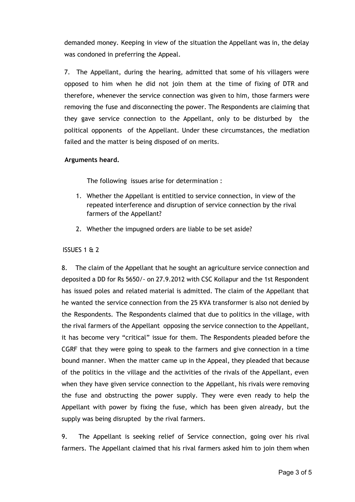demanded money. Keeping in view of the situation the Appellant was in, the delay was condoned in preferring the Appeal.

7. The Appellant, during the hearing, admitted that some of his villagers were opposed to him when he did not join them at the time of fixing of DTR and therefore, whenever the service connection was given to him, those farmers were removing the fuse and disconnecting the power. The Respondents are claiming that they gave service connection to the Appellant, only to be disturbed by the political opponents of the Appellant. Under these circumstances, the mediation failed and the matter is being disposed of on merits.

## **Arguments heard.**

The following issues arise for determination :

- 1. Whether the Appellant is entitled to service connection, in view of the repeated interference and disruption of service connection by the rival farmers of the Appellant?
- 2. Whether the impugned orders are liable to be set aside?

## ISSUES 1 & 2

8. The claim of the Appellant that he sought an agriculture service connection and deposited a DD for Rs 5650/‐ on 27.9.2012 with CSC Kollapur and the 1st Respondent has issued poles and related material is admitted. The claim of the Appellant that he wanted the service connection from the 25 KVA transformer is also not denied by the Respondents. The Respondents claimed that due to politics in the village, with the rival farmers of the Appellant opposing the service connection to the Appellant, it has become very "critical" issue for them. The Respondents pleaded before the CGRF that they were going to speak to the farmers and give connection in a time bound manner. When the matter came up in the Appeal, they pleaded that because of the politics in the village and the activities of the rivals of the Appellant, even when they have given service connection to the Appellant, his rivals were removing the fuse and obstructing the power supply. They were even ready to help the Appellant with power by fixing the fuse, which has been given already, but the supply was being disrupted by the rival farmers.

9. The Appellant is seeking relief of Service connection, going over his rival farmers. The Appellant claimed that his rival farmers asked him to join them when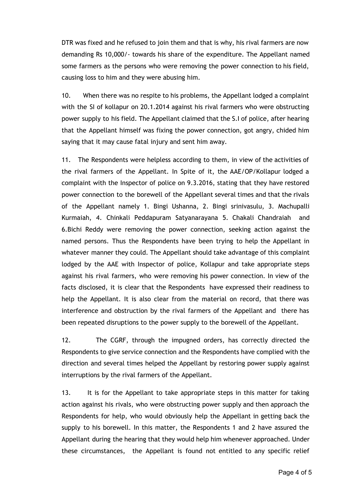DTR was fixed and he refused to join them and that is why, his rival farmers are now demanding Rs 10,000/‐ towards his share of the expenditure. The Appellant named some farmers as the persons who were removing the power connection to his field, causing loss to him and they were abusing him.

10. When there was no respite to his problems, the Appellant lodged a complaint with the SI of kollapur on 20.1.2014 against his rival farmers who were obstructing power supply to his field. The Appellant claimed that the S.I of police, after hearing that the Appellant himself was fixing the power connection, got angry, chided him saying that it may cause fatal injury and sent him away.

11. The Respondents were helpless according to them, in view of the activities of the rival farmers of the Appellant. In Spite of it, the AAE/OP/Kollapur lodged a complaint with the Inspector of police on 9.3.2016, stating that they have restored power connection to the borewell of the Appellant several times and that the rivals of the Appellant namely 1. Bingi Ushanna, 2. Bingi srinivasulu, 3. Machupalli Kurmaiah, 4. Chinkali Peddapuram Satyanarayana 5. Chakali Chandraiah and 6.Bichi Reddy were removing the power connection, seeking action against the named persons. Thus the Respondents have been trying to help the Appellant in whatever manner they could. The Appellant should take advantage of this complaint lodged by the AAE with Inspector of police, Kollapur and take appropriate steps against his rival farmers, who were removing his power connection. In view of the facts disclosed, it is clear that the Respondents have expressed their readiness to help the Appellant. It is also clear from the material on record, that there was interference and obstruction by the rival farmers of the Appellant and there has been repeated disruptions to the power supply to the borewell of the Appellant.

12. The CGRF, through the impugned orders, has correctly directed the Respondents to give service connection and the Respondents have complied with the direction and several times helped the Appellant by restoring power supply against interruptions by the rival farmers of the Appellant.

13. It is for the Appellant to take appropriate steps in this matter for taking action against his rivals, who were obstructing power supply and then approach the Respondents for help, who would obviously help the Appellant in getting back the supply to his borewell. In this matter, the Respondents 1 and 2 have assured the Appellant during the hearing that they would help him whenever approached. Under these circumstances, the Appellant is found not entitled to any specific relief